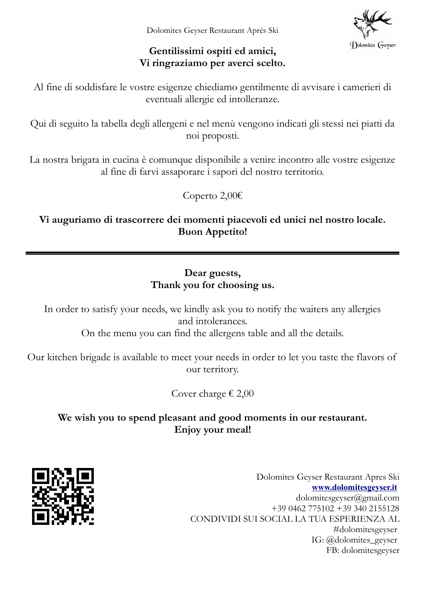Dolomites Geyser

### **Gentilissimi ospiti ed amici, Vi ringraziamo per averci scelto.**

Al fine di soddisfare le vostre esigenze chiediamo gentilmente di avvisare i camerieri di eventuali allergie ed intolleranze.

Qui di seguito la tabella degli allergeni e nel menù vengono indicati gli stessi nei piatti da noi proposti.

La nostra brigata in cucina è comunque disponibile a venire incontro alle vostre esigenze al fine di farvi assaporare i sapori del nostro territorio.

Coperto 2,00€

**Vi auguriamo di trascorrere dei momenti piacevoli ed unici nel nostro locale. Buon Appetito!**

### **Dear guests, Thank you for choosing us.**

In order to satisfy your needs, we kindly ask you to notify the waiters any allergies and intolerances.

On the menu you can find the allergens table and all the details.

Our kitchen brigade is available to meet your needs in order to let you taste the flavors of our territory.

Cover charge  $\epsilon$  2,00

# **We wish you to spend pleasant and good moments in our restaurant. Enjoy your meal!**



Dolomites Geyser Restaurant Apres Ski **[www.dolomitesgeyser.it](http://www.dolomitesgeyser.it/)** [dolomitesgeyser@gmail.com](mailto:dolomitesgeyser@gmail.com) +39 0462 775102 +39 340 2155128 CONDIVIDI SUI SOCIAL LA TUA ESPERIENZA AL #dolomitesgeyser IG: @dolomites\_geyser FB: dolomitesgeyser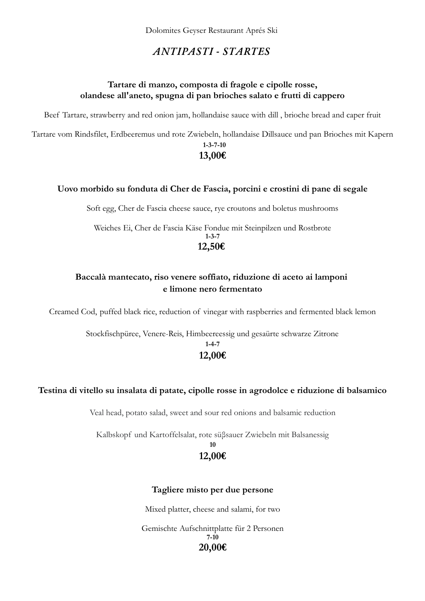### *ANTIPASTI - STARTES*

### **Tartare di manzo, composta di fragole e cipolle rosse, olandese all'aneto, spugna di pan brioches salato e frutti di cappero**

Beef Tartare, strawberry and red onion jam, hollandaise sauce with dill , brioche bread and caper fruit

Tartare vom Rindsfilet, Erdbeeremus und rote Zwiebeln, hollandaise Dillsauce und pan Brioches mit Kapern **1-3-7-10**

### **13,00€**

#### **Uovo morbido su fonduta di Cher de Fascia, porcini e crostini di pane di segale**

Soft egg, Cher de Fascia cheese sauce, rye croutons and boletus mushrooms

Weiches Ei, Cher de Fascia Käse Fondue mit Steinpilzen und Rostbrote **1-3-7 12,50€** 

### **Baccalà mantecato, riso venere soffiato, riduzione di aceto ai lamponi e limone nero fermentato**

Creamed Cod, puffed black rice, reduction of vinegar with raspberries and fermented black lemon

Stockfischpüree, Venere-Reis, Himbeereessig und gesaürte schwarze Zitrone **1-4-7 12,00€**

#### **Testina di vitello su insalata di patate, cipolle rosse in agrodolce e riduzione di balsamico**

Veal head, potato salad, sweet and sour red onions and balsamic reduction

Kalbskopf und Kartoffelsalat, rote süβsauer Zwiebeln mit Balsanessig **10**

## **12,00€**

#### **Tagliere misto per due persone**

Mixed platter, cheese and salami, for two

Gemischte Aufschnittplatte für 2 Personen **7-10 20,00€**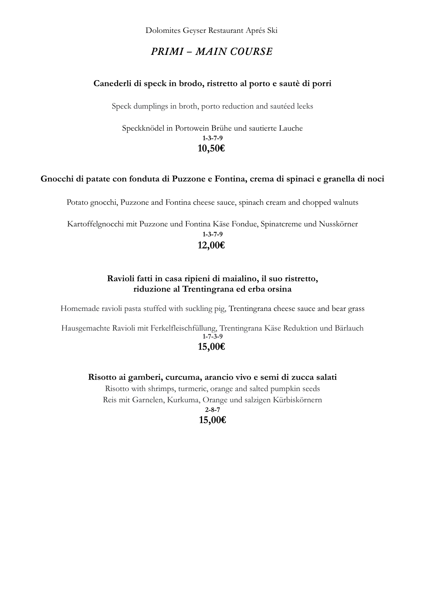Dolomites Geyser Restaurant Aprés Ski

### *PRIMI – MAIN COURSE*

### **Canederli di speck in brodo, ristretto al porto e sautè di porri**

Speck dumplings in broth, porto reduction and sautéed leeks

Speckknödel in Portowein Brühe und sautierte Lauche **1-3-7-9 10,50€**

### **Gnocchi di patate con fonduta di Puzzone e Fontina, crema di spinaci e granella di noci**

Potato gnocchi, Puzzone and Fontina cheese sauce, spinach cream and chopped walnuts

Kartoffelgnocchi mit Puzzone und Fontina Käse Fondue, Spinatcreme und Nusskörner **1-3-7-9**

# **12,00€**

### **Ravioli fatti in casa ripieni di maialino, il suo ristretto, riduzione al Trentingrana ed erba orsina**

Homemade ravioli pasta stuffed with suckling pig, Trentingrana cheese sauce and bear grass

Hausgemachte Ravioli mit Ferkelfleischfüllung, Trentingrana Käse Reduktion und Bärlauch **1-7-3-9 15,00€**

### **Risotto ai gamberi, curcuma, arancio vivo e semi di zucca salati**

Risotto with shrimps, turmeric, orange and salted pumpkin seeds Reis mit Garnelen, Kurkuma, Orange und salzigen Kürbiskörnern

> **2-8-7 15,00€**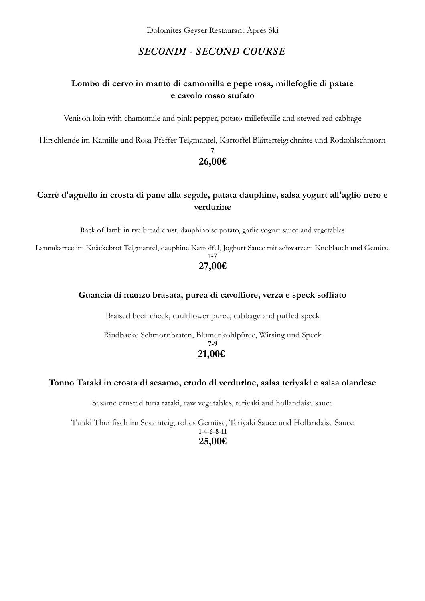### *SECONDI - SECOND COURSE*

### **Lombo di cervo in manto di camomilla e pepe rosa, millefoglie di patate e cavolo rosso stufato**

Venison loin with chamomile and pink pepper, potato millefeuille and stewed red cabbage

Hirschlende im Kamille und Rosa Pfeffer Teigmantel, Kartoffel Blätterteigschnitte und Rotkohlschmorn

#### **7 26,00€**

### **Carrè d'agnello in crosta di pane alla segale, patata dauphine, salsa yogurt all'aglio nero e verdurine**

Rack of lamb in rye bread crust, dauphinoise potato, garlic yogurt sauce and vegetables

Lammkarree im Knäckebrot Teigmantel, dauphine Kartoffel, Joghurt Sauce mit schwarzem Knoblauch und Gemüse

### **1-7 27,00€**

### **Guancia di manzo brasata, purea di cavolfiore, verza e speck soffiato**

Braised beef cheek, cauliflower puree, cabbage and puffed speck

Rindbacke Schmornbraten, Blumenkohlpüree, Wirsing und Speck **7-9 21,00€** 

#### **Tonno Tataki in crosta di sesamo, crudo di verdurine, salsa teriyaki e salsa olandese**

Sesame crusted tuna tataki, raw vegetables, teriyaki and hollandaise sauce

Tataki Thunfisch im Sesamteig, rohes Gemüse, Teriyaki Sauce und Hollandaise Sauce **1-4-6-8-11 25,00€**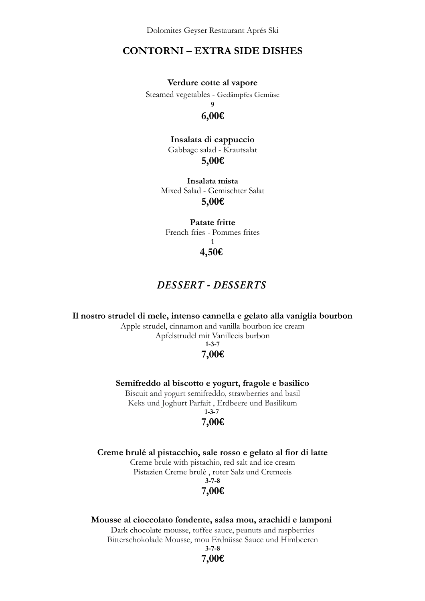Dolomites Geyser Restaurant Aprés Ski

### **CONTORNI – EXTRA SIDE DISHES**

**Verdure cotte al vapore**

Steamed vegetables - Gedämpfes Gemüse

**9**

#### **6,00€**

**Insalata di cappuccio** Gabbage salad - Krautsalat **5,00€**

**Insalata mista** Mixed Salad - Gemischter Salat **5,00€**

**Patate fritte** French fries - Pommes frites **1 4,50€** 

### *DESSERT - DESSERTS*

#### **Il nostro strudel di mele, intenso cannella e gelato alla vaniglia bourbon**

Apple strudel, cinnamon and vanilla bourbon ice cream Apfelstrudel mit Vanilleeis burbon **1-3-7**

#### **7,00€**

**Semifreddo al biscotto e yogurt, fragole e basilico**

Biscuit and yogurt semifreddo, strawberries and basil Keks und Joghurt Parfait , Erdbeere und Basilikum **1-3-7** 

# **7,00€**

**Creme brulé al pistacchio, sale rosso e gelato al fior di latte** Creme brule with pistachio, red salt and ice cream

Pistazien Creme brulè , roter Salz und Cremeeis

#### **3-7-8 7,00€**

# **Mousse al cioccolato fondente, salsa mou, arachidi e lamponi** Dark chocolate mousse, toffee sauce, peanuts and raspberries

Bitterschokolade Mousse, mou Erdnüsse Sauce und Himbeeren **3-7-8**

**7,00€**